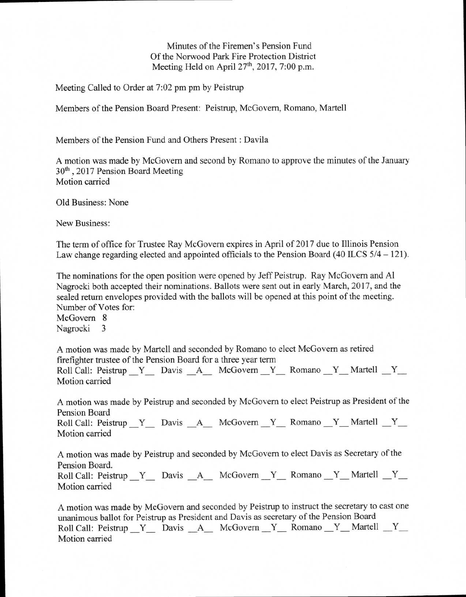Minutes of the Firemen's Pension Fund Of the Norwood Park Fire Protection District Meeting Held on April  $27<sup>th</sup>$ , 2017, 7:00 p.m.

Meeting Called to Order at 7:02 pm pm by Peistrup

Members of the Pension Board Present: Peistrup, McGovern, Romano, Martell

Members of the Pension Fund and Others Present : Davila

A motion was made by McGovern and second by Romano to approve the minutes of the January 30<sup>th</sup>, 2017 Pension Board Meeting Motion carried

Old Business: None

New Business:

The term of office for Trustee Ray McGovern expires in April of 2017 due to Illinois Pension Law change regarding elected and appointed officials to the Pension Board (40 ILCS 5/4 — 121).

The nominations for the open position were opened by Jeff Peistrup. Ray McGovern and Al Nagrocki both accepted their nominations. Ballots were sent out in early March, 2017, and the sealed return envelopes provided with the ballots will be opened at this point of the meeting. Number of Votes for:

McGovern 8 Nagrocki 3

A motion was made by Martell and seconded by Romano to elect McGovern as retired firefighter trustee of the Pension Board for a three year term

Roll Call: Peistrup Y Davis A McGovern Y Romano Y Martell Y Motion carried

A motion was made by Peistrup and seconded by McGovern to elect Peistrup as President of the Pension Board Roll Call: Peistrup Y Davis A McGovern Y Romano Y Martell Y

Motion carried

A motion was made by Peistrup and seconded by McGovern to elect Davis as Secretary of the Pension Board.

Roll Call: Peistrup Y Davis A McGovern Y Romano Y Martell Y Motion carried

A motion was made by McGovern and seconded by Peistrup to instruct the secretary to cast one unanimous ballot for Peistrup as President and Davis as secretary of the Pension Board Roll Call: Peistrup Y Davis A McGovern Y Romano Y Martell Y Motion carried